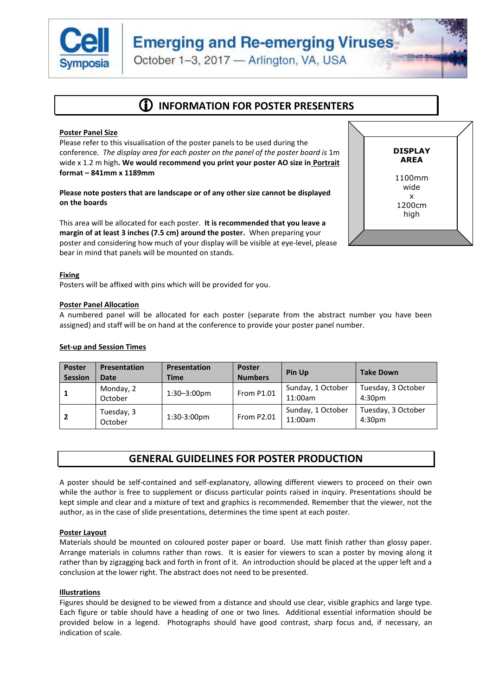

# **Emerging and Re-emerging Viruses**

October 1-3, 2017 - Arlington, VA, USA

# **INFORMATION FOR POSTER PRESENTERS**

# **Poster Panel Size**

Please refer to this visualisation of the poster panels to be used during the conference. *The display area for each poster on the panel of the poster board is* 1m wide x 1.2 m high**. We would recommend you print your poster AO size in Portrait format – 841mm x 1189mm**

**Please note posters that are landscape or of any other size cannot be displayed on the boards**

This area will be allocated for each poster. **It is recommended that you leave a margin of at least 3 inches (7.5 cm) around the poster.** When preparing your poster and considering how much of your display will be visible at eye-level, please bear in mind that panels will be mounted on stands.



#### **Fixing**

Posters will be affixed with pins which will be provided for you.

#### **Poster Panel Allocation**

A numbered panel will be allocated for each poster (separate from the abstract number you have been assigned) and staff will be on hand at the conference to provide your poster panel number.

### **Set-up and Session Times**

| <b>Poster</b><br><b>Session</b> | <b>Presentation</b><br><b>Date</b> | <b>Presentation</b><br><b>Time</b> | <b>Poster</b><br><b>Numbers</b> | <b>Pin Up</b>                | <b>Take Down</b>             |
|---------------------------------|------------------------------------|------------------------------------|---------------------------------|------------------------------|------------------------------|
|                                 | Monday, 2<br>October               | $1:30 - 3:00$ pm                   | <b>From P1.01</b>               | Sunday, 1 October<br>11:00am | Tuesday, 3 October<br>4:30pm |
|                                 | Tuesday, 3<br>October              | 1:30-3:00pm                        | <b>From P2.01</b>               | Sunday, 1 October<br>11:00am | Tuesday, 3 October<br>4:30pm |

# **GENERAL GUIDELINES FOR POSTER PRODUCTION**

A poster should be self-contained and self-explanatory, allowing different viewers to proceed on their own while the author is free to supplement or discuss particular points raised in inquiry. Presentations should be kept simple and clear and a mixture of text and graphics is recommended. Remember that the viewer, not the author, as in the case of slide presentations, determines the time spent at each poster.

# **Poster Layout**

Materials should be mounted on coloured poster paper or board. Use matt finish rather than glossy paper. Arrange materials in columns rather than rows. It is easier for viewers to scan a poster by moving along it rather than by zigzagging back and forth in front of it. An introduction should be placed at the upper left and a conclusion at the lower right. The abstract does not need to be presented.

# **Illustrations**

Figures should be designed to be viewed from a distance and should use clear, visible graphics and large type. Each figure or table should have a heading of one or two lines. Additional essential information should be provided below in a legend. Photographs should have good contrast, sharp focus and, if necessary, an indication of scale.